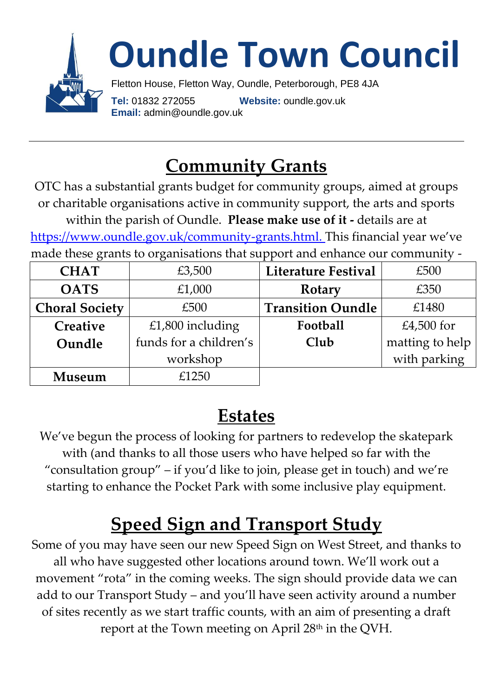

## **Community Grants**

OTC has a substantial grants budget for community groups, aimed at groups or charitable organisations active in community support, the arts and sports within the parish of Oundle. **Please make use of it -** details are at [https://www.oundle.gov.uk/community-grants.html.](https://www.oundle.gov.uk/community-grants.html) This financial year we've made these grants to organisations that support and enhance our community -

| <b>CHAT</b>           | £3,500                 | <b>Literature Festival</b> | £500            |
|-----------------------|------------------------|----------------------------|-----------------|
| <b>OATS</b>           | £1,000                 | Rotary                     | £350            |
| <b>Choral Society</b> | £500                   | <b>Transition Oundle</b>   | £1480           |
| Creative              | £1,800 including       | Football                   | £4,500 for      |
| Oundle                | funds for a children's | Club                       | matting to help |
|                       | workshop               |                            | with parking    |
| Museum                | £1250                  |                            |                 |

#### **Estates**

We've begun the process of looking for partners to redevelop the skatepark with (and thanks to all those users who have helped so far with the "consultation group" – if you'd like to join, please get in touch) and we're starting to enhance the Pocket Park with some inclusive play equipment.

# **Speed Sign and Transport Study**

Some of you may have seen our new Speed Sign on West Street, and thanks to all who have suggested other locations around town. We'll work out a movement "rota" in the coming weeks. The sign should provide data we can add to our Transport Study – and you'll have seen activity around a number of sites recently as we start traffic counts, with an aim of presenting a draft report at the Town meeting on April 28<sup>th</sup> in the QVH.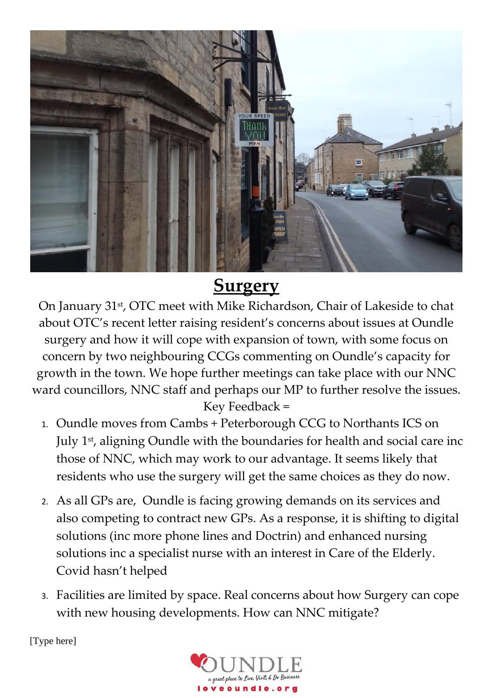

### **Surgery**

On January 31st, OTC meet with Mike Richardson, Chair of Lakeside to chat about OTC's recent letter raising resident's concerns about issues at Oundle surgery and how it will cope with expansion of town, with some focus on concern by two neighbouring CCGs commenting on Oundle's capacity for growth in the town. We hope further meetings can take place with our NNC ward councillors, NNC staff and perhaps our MP to further resolve the issues. Key Feedback =

- 1. Oundle moves from Cambs + Peterborough CCG to Northants ICS on July 1 st, aligning Oundle with the boundaries for health and social care inc those of NNC, which may work to our advantage. It seems likely that residents who use the surgery will get the same choices as they do now.
- 2. As all GPs are, Oundle is facing growing demands on its services and also competing to contract new GPs. As a response, it is shifting to digital solutions (inc more phone lines and Doctrin) and enhanced nursing solutions inc a specialist nurse with an interest in Care of the Elderly. Covid hasn't helped
- 3. Facilities are limited by space. Real concerns about how Surgery can cope with new housing developments. How can NNC mitigate?

[Type here]

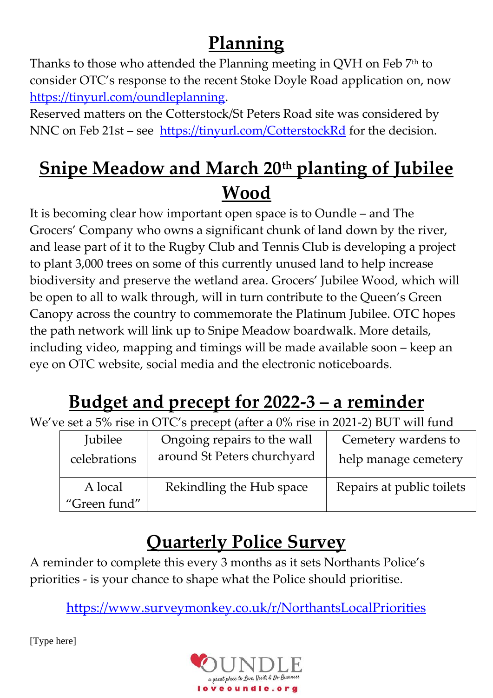# **Planning**

Thanks to those who attended the Planning meeting in QVH on Feb 7<sup>th</sup> to consider OTC's response to the recent Stoke Doyle Road application on, now [https://tinyurl.com/oundleplanning.](https://tinyurl.com/oundleplanning)

Reserved matters on the Cotterstock/St Peters Road site was considered by NNC on Feb 21st – see <https://tinyurl.com/CotterstockRd> for the decision.

## **Snipe Meadow and March 20th planting of Jubilee Wood**

It is becoming clear how important open space is to Oundle – and The Grocers' Company who owns a significant chunk of land down by the river, and lease part of it to the Rugby Club and Tennis Club is developing a project to plant 3,000 trees on some of this currently unused land to help increase biodiversity and preserve the wetland area. Grocers' Jubilee Wood, which will be open to all to walk through, will in turn contribute to the Queen's Green Canopy across the country to commemorate the Platinum Jubilee. OTC hopes the path network will link up to Snipe Meadow boardwalk. More details, including video, mapping and timings will be made available soon – keep an eye on OTC website, social media and the electronic noticeboards.

# **Budget and precept for 2022-3 – a reminder**

We've set a 5% rise in OTC's precept (after a 0% rise in 2021-2) BUT will fund

| <b>Jubilee</b>          | Ongoing repairs to the wall | Cemetery wardens to       |
|-------------------------|-----------------------------|---------------------------|
| celebrations            | around St Peters churchyard | help manage cemetery      |
| A local<br>"Green fund" | Rekindling the Hub space    | Repairs at public toilets |

## **Quarterly Police Survey**

A reminder to complete this every 3 months as it sets Northants Police's priorities - is your chance to shape what the Police should prioritise.

<https://www.surveymonkey.co.uk/r/NorthantsLocalPriorities>

[Type here]